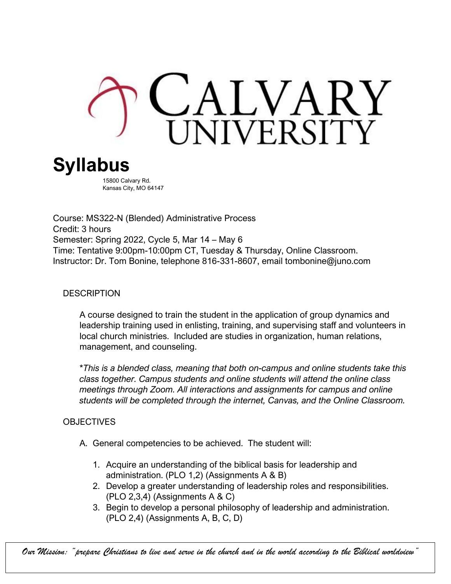

15800 Calvary Rd. Kansas City, MO 64147

Course: MS322-N (Blended) Administrative Process Credit: 3 hours Semester: Spring 2022, Cycle 5, Mar 14 – May 6 Time: Tentative 9:00pm-10:00pm CT, Tuesday & Thursday, Online Classroom. Instructor: Dr. Tom Bonine, telephone 816-331-8607, email tombonine@juno.com

### **DESCRIPTION**

A course designed to train the student in the application of group dynamics and leadership training used in enlisting, training, and supervising staff and volunteers in local church ministries. Included are studies in organization, human relations, management, and counseling.

\**This is a blended class, meaning that both on-campus and online students take this class together. Campus students and online students will attend the online class meetings through Zoom. All interactions and assignments for campus and online students will be completed through the internet, Canvas, and the Online Classroom.*

#### **OBJECTIVES**

- A. General competencies to be achieved. The student will:
	- 1. Acquire an understanding of the biblical basis for leadership and administration. (PLO 1,2) (Assignments A & B)
	- 2. Develop a greater understanding of leadership roles and responsibilities.  $(PLO 2, 3, 4)$  (Assignments A & C)
	- 3. Begin to develop a personal philosophy of leadership and administration. (PLO 2,4) (Assignments A, B, C, D)

*Our Mission: "prepare Christians to live and serve in the church and in the world according to the Biblical worldview"*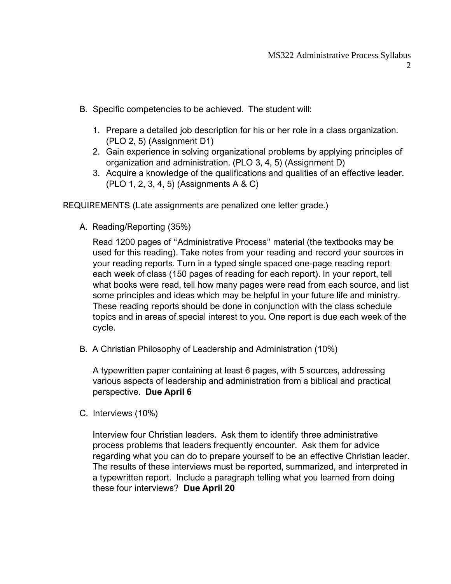- B. Specific competencies to be achieved. The student will:
	- 1. Prepare a detailed job description for his or her role in a class organization. (PLO 2, 5) (Assignment D1)
	- 2. Gain experience in solving organizational problems by applying principles of organization and administration. (PLO 3, 4, 5) (Assignment D)
	- 3. Acquire a knowledge of the qualifications and qualities of an effective leader. (PLO 1, 2, 3, 4, 5) (Assignments A & C)

REQUIREMENTS (Late assignments are penalized one letter grade.)

A. Reading/Reporting (35%)

Read 1200 pages of "Administrative Process" material (the textbooks may be used for this reading). Take notes from your reading and record your sources in your reading reports. Turn in a typed single spaced one-page reading report each week of class (150 pages of reading for each report). In your report, tell what books were read, tell how many pages were read from each source, and list some principles and ideas which may be helpful in your future life and ministry. These reading reports should be done in conjunction with the class schedule topics and in areas of special interest to you. One report is due each week of the cycle.

B. A Christian Philosophy of Leadership and Administration (10%)

A typewritten paper containing at least 6 pages, with 5 sources, addressing various aspects of leadership and administration from a biblical and practical perspective. **Due April 6**

C. Interviews (10%)

Interview four Christian leaders. Ask them to identify three administrative process problems that leaders frequently encounter. Ask them for advice regarding what you can do to prepare yourself to be an effective Christian leader. The results of these interviews must be reported, summarized, and interpreted in a typewritten report. Include a paragraph telling what you learned from doing these four interviews? **Due April 20**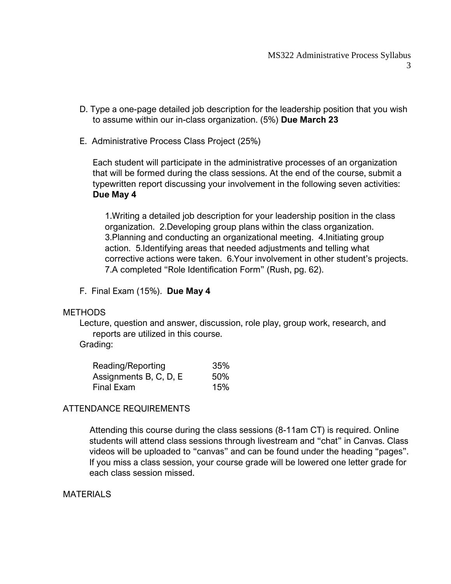- D. Type a one-page detailed job description for the leadership position that you wish to assume within our in-class organization. (5%) **Due March 23**
- E. Administrative Process Class Project (25%)

Each student will participate in the administrative processes of an organization that will be formed during the class sessions. At the end of the course, submit a typewritten report discussing your involvement in the following seven activities: **Due May 4**

1.Writing a detailed job description for your leadership position in the class organization. 2.Developing group plans within the class organization. 3.Planning and conducting an organizational meeting. 4.Initiating group action. 5.Identifying areas that needed adjustments and telling what corrective actions were taken. 6.Your involvement in other student's projects. 7.A completed "Role Identification Form" (Rush, pg. 62).

F. Final Exam (15%). **Due May 4**

#### **METHODS**

Lecture, question and answer, discussion, role play, group work, research, and reports are utilized in this course.

#### Grading:

| Reading/Reporting      | 35% |
|------------------------|-----|
| Assignments B, C, D, E | 50% |
| Final Exam             | 15% |

## ATTENDANCE REQUIREMENTS

 Attending this course during the class sessions (8-11am CT) is required. Online students will attend class sessions through livestream and "chat" in Canvas. Class videos will be uploaded to "canvas" and can be found under the heading "pages". If you miss a class session, your course grade will be lowered one letter grade for each class session missed.

#### **MATERIALS**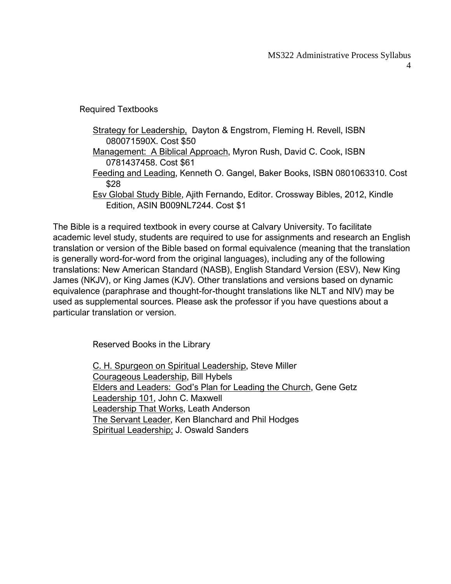Required Textbooks

Strategy for Leadership, Dayton & Engstrom, Fleming H. Revell, ISBN 080071590X. Cost \$50 Management: A Biblical Approach, Myron Rush, David C. Cook, ISBN 0781437458. Cost \$61 Feeding and Leading, Kenneth O. Gangel, Baker Books, ISBN 0801063310. Cost \$28 Esv Global Study Bible, Ajith Fernando, Editor. Crossway Bibles, 2012, Kindle Edition, ASIN B009NL7244. Cost \$1

The Bible is a required textbook in every course at Calvary University. To facilitate academic level study, students are required to use for assignments and research an English translation or version of the Bible based on formal equivalence (meaning that the translation is generally word-for-word from the original languages), including any of the following translations: New American Standard (NASB), English Standard Version (ESV), New King James (NKJV), or King James (KJV). Other translations and versions based on dynamic equivalence (paraphrase and thought-for-thought translations like NLT and NIV) may be used as supplemental sources. Please ask the professor if you have questions about a particular translation or version.

Reserved Books in the Library

C. H. Spurgeon on Spiritual Leadership, Steve Miller Courageous Leadership, Bill Hybels Elders and Leaders: God's Plan for Leading the Church, Gene Getz Leadership 101, John C. Maxwell Leadership That Works, Leath Anderson The Servant Leader, Ken Blanchard and Phil Hodges Spiritual Leadership; J. Oswald Sanders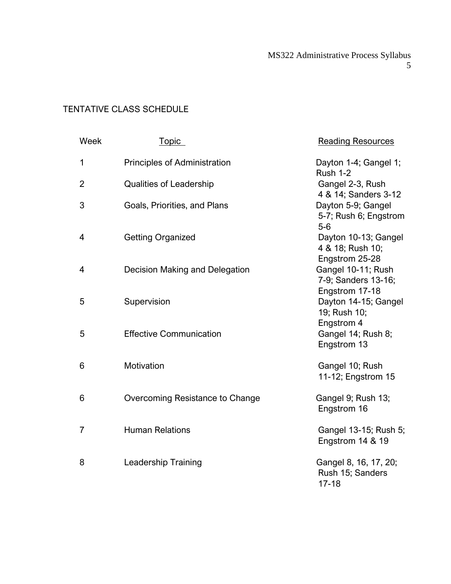# TENTATIVE CLASS SCHEDULE

| Week           | <u>Topic</u>                    | <b>Reading Resources</b>                                    |
|----------------|---------------------------------|-------------------------------------------------------------|
| 1              | Principles of Administration    | Dayton 1-4; Gangel 1;<br><b>Rush 1-2</b>                    |
| $\overline{2}$ | <b>Qualities of Leadership</b>  | Gangel 2-3, Rush<br>4 & 14; Sanders 3-12                    |
| $\mathfrak{B}$ | Goals, Priorities, and Plans    | Dayton 5-9; Gangel<br>5-7; Rush 6; Engstrom<br>$5-6$        |
| 4              | <b>Getting Organized</b>        | Dayton 10-13; Gangel<br>4 & 18; Rush 10;<br>Engstrom 25-28  |
| 4              | Decision Making and Delegation  | Gangel 10-11; Rush<br>7-9; Sanders 13-16;<br>Engstrom 17-18 |
| 5              | Supervision                     | Dayton 14-15; Gangel<br>19; Rush 10;                        |
| 5              | <b>Effective Communication</b>  | Engstrom 4<br>Gangel 14; Rush 8;<br>Engstrom 13             |
| 6              | Motivation                      | Gangel 10; Rush<br>11-12; Engstrom 15                       |
| 6              | Overcoming Resistance to Change | Gangel 9; Rush 13;<br>Engstrom 16                           |
| 7              | <b>Human Relations</b>          | Gangel 13-15; Rush 5;<br>Engstrom 14 & 19                   |
| 8              | <b>Leadership Training</b>      | Gangel 8, 16, 17, 20;<br>Rush 15; Sanders<br>$17 - 18$      |